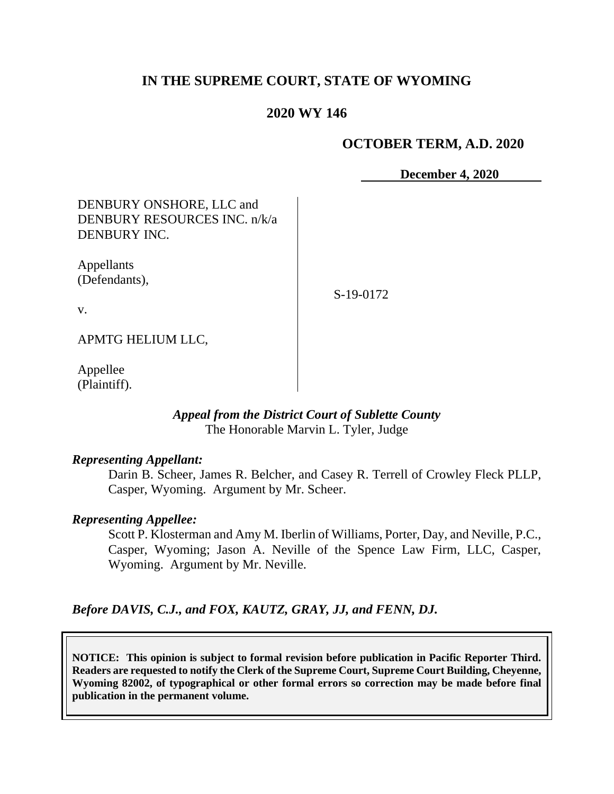## **IN THE SUPREME COURT, STATE OF WYOMING**

#### **2020 WY 146**

#### **OCTOBER TERM, A.D. 2020**

**December 4, 2020**

DENBURY ONSHORE, LLC and DENBURY RESOURCES INC. n/k/a DENBURY INC.

Appellants (Defendants),

S-19-0172

v.

APMTG HELIUM LLC,

Appellee (Plaintiff).

#### *Appeal from the District Court of Sublette County* The Honorable Marvin L. Tyler, Judge

#### *Representing Appellant:*

Darin B. Scheer, James R. Belcher, and Casey R. Terrell of Crowley Fleck PLLP, Casper, Wyoming. Argument by Mr. Scheer.

#### *Representing Appellee:*

Scott P. Klosterman and Amy M. Iberlin of Williams, Porter, Day, and Neville, P.C., Casper, Wyoming; Jason A. Neville of the Spence Law Firm, LLC, Casper, Wyoming. Argument by Mr. Neville.

*Before DAVIS, C.J., and FOX, KAUTZ, GRAY, JJ, and FENN, DJ.*

**NOTICE: This opinion is subject to formal revision before publication in Pacific Reporter Third. Readers are requested to notify the Clerk of the Supreme Court, Supreme Court Building, Cheyenne, Wyoming 82002, of typographical or other formal errors so correction may be made before final publication in the permanent volume.**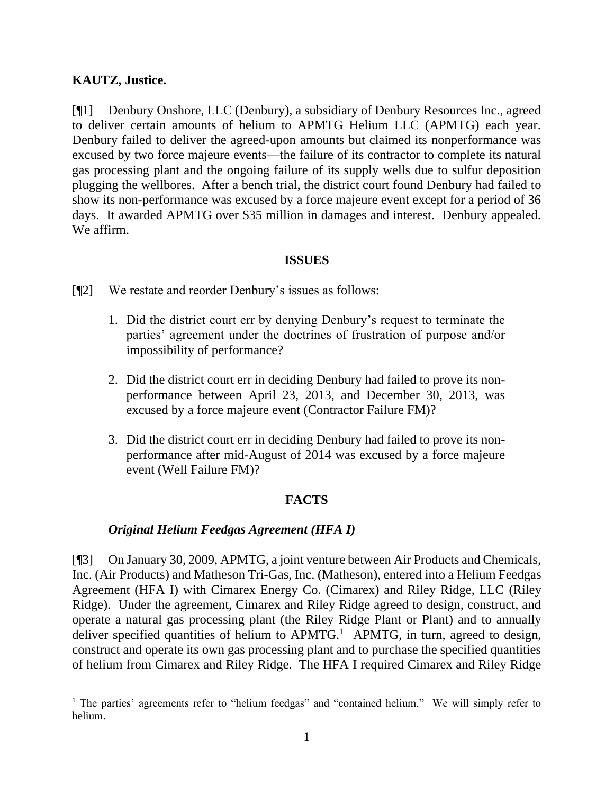## **KAUTZ, Justice.**

[¶1] Denbury Onshore, LLC (Denbury), a subsidiary of Denbury Resources Inc., agreed to deliver certain amounts of helium to APMTG Helium LLC (APMTG) each year. Denbury failed to deliver the agreed-upon amounts but claimed its nonperformance was excused by two force majeure events—the failure of its contractor to complete its natural gas processing plant and the ongoing failure of its supply wells due to sulfur deposition plugging the wellbores. After a bench trial, the district court found Denbury had failed to show its non-performance was excused by a force majeure event except for a period of 36 days. It awarded APMTG over \$35 million in damages and interest. Denbury appealed. We affirm.

#### **ISSUES**

[¶2] We restate and reorder Denbury's issues as follows:

- 1. Did the district court err by denying Denbury's request to terminate the parties' agreement under the doctrines of frustration of purpose and/or impossibility of performance?
- 2. Did the district court err in deciding Denbury had failed to prove its nonperformance between April 23, 2013, and December 30, 2013, was excused by a force majeure event (Contractor Failure FM)?
- 3. Did the district court err in deciding Denbury had failed to prove its nonperformance after mid-August of 2014 was excused by a force majeure event (Well Failure FM)?

# **FACTS**

## *Original Helium Feedgas Agreement (HFA I)*

[¶3] On January 30, 2009, APMTG, a joint venture between Air Products and Chemicals, Inc. (Air Products) and Matheson Tri-Gas, Inc. (Matheson), entered into a Helium Feedgas Agreement (HFA I) with Cimarex Energy Co. (Cimarex) and Riley Ridge, LLC (Riley Ridge). Under the agreement, Cimarex and Riley Ridge agreed to design, construct, and operate a natural gas processing plant (the Riley Ridge Plant or Plant) and to annually deliver specified quantities of helium to  $APMTG$ <sup>1</sup> APMTG, in turn, agreed to design, construct and operate its own gas processing plant and to purchase the specified quantities of helium from Cimarex and Riley Ridge. The HFA I required Cimarex and Riley Ridge

<sup>&</sup>lt;sup>1</sup> The parties' agreements refer to "helium feedgas" and "contained helium." We will simply refer to helium.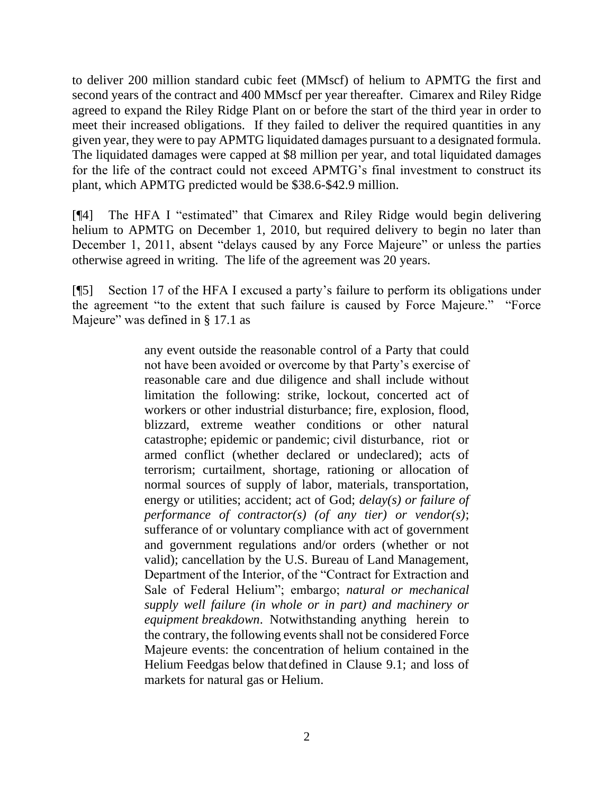to deliver 200 million standard cubic feet (MMscf) of helium to APMTG the first and second years of the contract and 400 MMscf per year thereafter. Cimarex and Riley Ridge agreed to expand the Riley Ridge Plant on or before the start of the third year in order to meet their increased obligations. If they failed to deliver the required quantities in any given year, they were to pay APMTG liquidated damages pursuant to a designated formula. The liquidated damages were capped at \$8 million per year, and total liquidated damages for the life of the contract could not exceed APMTG's final investment to construct its plant, which APMTG predicted would be \$38.6-\$42.9 million.

[¶4] The HFA I "estimated" that Cimarex and Riley Ridge would begin delivering helium to APMTG on December 1, 2010, but required delivery to begin no later than December 1, 2011, absent "delays caused by any Force Majeure" or unless the parties otherwise agreed in writing. The life of the agreement was 20 years.

[¶5] Section 17 of the HFA I excused a party's failure to perform its obligations under the agreement "to the extent that such failure is caused by Force Majeure." "Force Majeure" was defined in § 17.1 as

> any event outside the reasonable control of a Party that could not have been avoided or overcome by that Party's exercise of reasonable care and due diligence and shall include without limitation the following: strike, lockout, concerted act of workers or other industrial disturbance; fire, explosion, flood, blizzard, extreme weather conditions or other natural catastrophe; epidemic or pandemic; civil disturbance, riot or armed conflict (whether declared or undeclared); acts of terrorism; curtailment, shortage, rationing or allocation of normal sources of supply of labor, materials, transportation, energy or utilities; accident; act of God; *delay(s) or failure of performance of contractor(s) (of any tier) or vendor(s)*; sufferance of or voluntary compliance with act of government and government regulations and/or orders (whether or not valid); cancellation by the U.S. Bureau of Land Management, Department of the Interior, of the "Contract for Extraction and Sale of Federal Helium"; embargo; *natural or mechanical supply well failure (in whole or in part) and machinery or equipment breakdown*. Notwithstanding anything herein to the contrary, the following events shall not be considered Force Majeure events: the concentration of helium contained in the Helium Feedgas below thatdefined in Clause 9.1; and loss of markets for natural gas or Helium.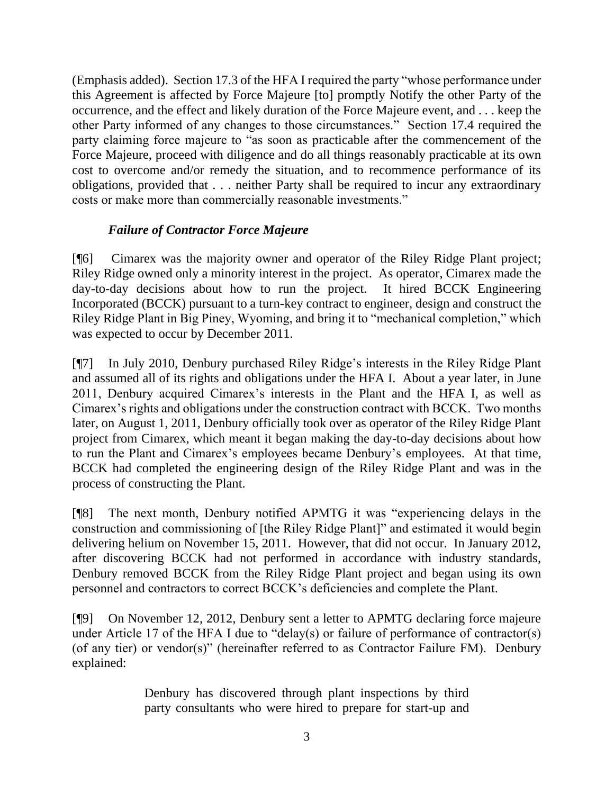(Emphasis added). Section 17.3 of the HFA I required the party "whose performance under this Agreement is affected by Force Majeure [to] promptly Notify the other Party of the occurrence, and the effect and likely duration of the Force Majeure event, and . . . keep the other Party informed of any changes to those circumstances." Section 17.4 required the party claiming force majeure to "as soon as practicable after the commencement of the Force Majeure, proceed with diligence and do all things reasonably practicable at its own cost to overcome and/or remedy the situation, and to recommence performance of its obligations, provided that . . . neither Party shall be required to incur any extraordinary costs or make more than commercially reasonable investments."

## *Failure of Contractor Force Majeure*

[¶6] Cimarex was the majority owner and operator of the Riley Ridge Plant project; Riley Ridge owned only a minority interest in the project. As operator, Cimarex made the day-to-day decisions about how to run the project. It hired BCCK Engineering Incorporated (BCCK) pursuant to a turn-key contract to engineer, design and construct the Riley Ridge Plant in Big Piney, Wyoming, and bring it to "mechanical completion," which was expected to occur by December 2011.

[¶7] In July 2010, Denbury purchased Riley Ridge's interests in the Riley Ridge Plant and assumed all of its rights and obligations under the HFA I. About a year later, in June 2011, Denbury acquired Cimarex's interests in the Plant and the HFA I, as well as Cimarex's rights and obligations under the construction contract with BCCK. Two months later, on August 1, 2011, Denbury officially took over as operator of the Riley Ridge Plant project from Cimarex, which meant it began making the day-to-day decisions about how to run the Plant and Cimarex's employees became Denbury's employees. At that time, BCCK had completed the engineering design of the Riley Ridge Plant and was in the process of constructing the Plant.

[¶8] The next month, Denbury notified APMTG it was "experiencing delays in the construction and commissioning of [the Riley Ridge Plant]" and estimated it would begin delivering helium on November 15, 2011. However, that did not occur. In January 2012, after discovering BCCK had not performed in accordance with industry standards, Denbury removed BCCK from the Riley Ridge Plant project and began using its own personnel and contractors to correct BCCK's deficiencies and complete the Plant.

[¶9] On November 12, 2012, Denbury sent a letter to APMTG declaring force majeure under Article 17 of the HFA I due to "delay(s) or failure of performance of contractor(s) (of any tier) or vendor(s)" (hereinafter referred to as Contractor Failure FM). Denbury explained:

> Denbury has discovered through plant inspections by third party consultants who were hired to prepare for start-up and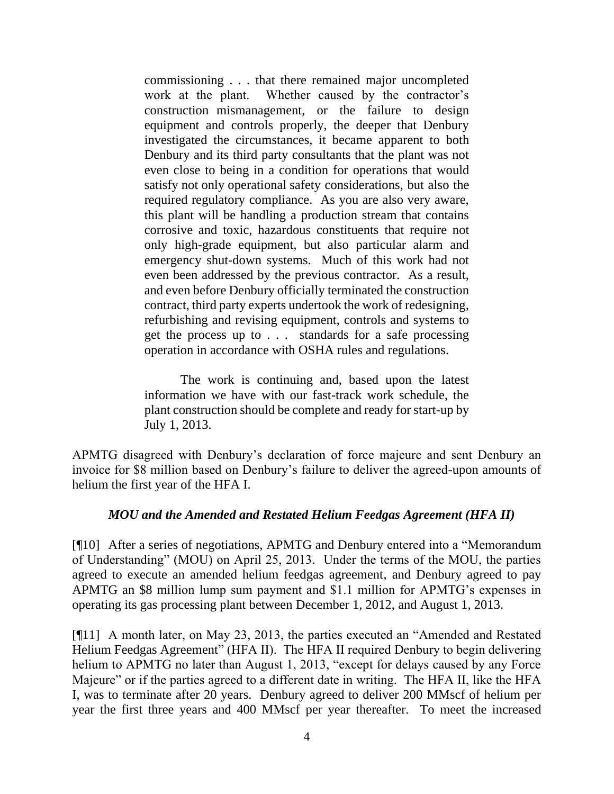commissioning . . . that there remained major uncompleted work at the plant. Whether caused by the contractor's construction mismanagement, or the failure to design equipment and controls properly, the deeper that Denbury investigated the circumstances, it became apparent to both Denbury and its third party consultants that the plant was not even close to being in a condition for operations that would satisfy not only operational safety considerations, but also the required regulatory compliance. As you are also very aware, this plant will be handling a production stream that contains corrosive and toxic, hazardous constituents that require not only high-grade equipment, but also particular alarm and emergency shut-down systems. Much of this work had not even been addressed by the previous contractor. As a result, and even before Denbury officially terminated the construction contract, third party experts undertook the work of redesigning, refurbishing and revising equipment, controls and systems to get the process up to . . . standards for a safe processing operation in accordance with OSHA rules and regulations.

The work is continuing and, based upon the latest information we have with our fast-track work schedule, the plant construction should be complete and ready for start-up by July 1, 2013.

APMTG disagreed with Denbury's declaration of force majeure and sent Denbury an invoice for \$8 million based on Denbury's failure to deliver the agreed-upon amounts of helium the first year of the HFA I.

## *MOU and the Amended and Restated Helium Feedgas Agreement (HFA II)*

[¶10] After a series of negotiations, APMTG and Denbury entered into a "Memorandum of Understanding" (MOU) on April 25, 2013. Under the terms of the MOU, the parties agreed to execute an amended helium feedgas agreement, and Denbury agreed to pay APMTG an \$8 million lump sum payment and \$1.1 million for APMTG's expenses in operating its gas processing plant between December 1, 2012, and August 1, 2013.

[¶11] A month later, on May 23, 2013, the parties executed an "Amended and Restated Helium Feedgas Agreement" (HFA II). The HFA II required Denbury to begin delivering helium to APMTG no later than August 1, 2013, "except for delays caused by any Force Majeure" or if the parties agreed to a different date in writing. The HFA II, like the HFA I, was to terminate after 20 years. Denbury agreed to deliver 200 MMscf of helium per year the first three years and 400 MMscf per year thereafter. To meet the increased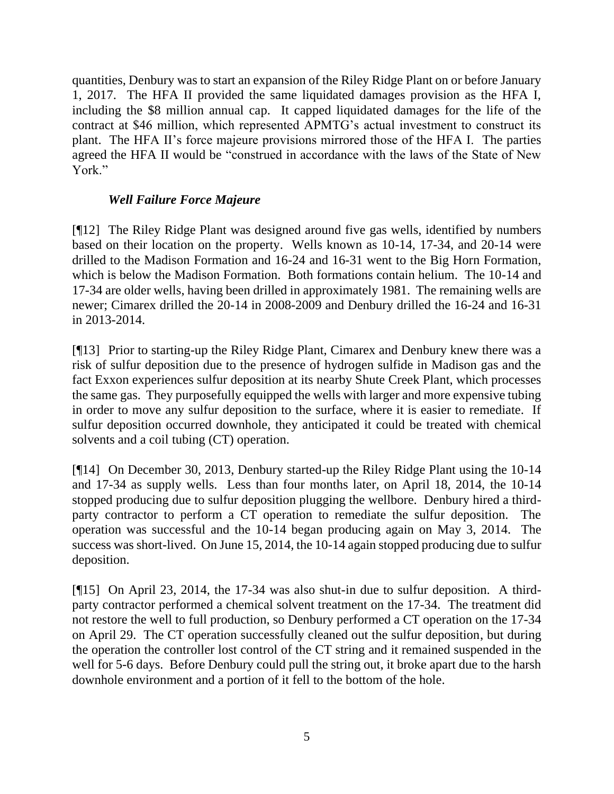quantities, Denbury was to start an expansion of the Riley Ridge Plant on or before January 1, 2017. The HFA II provided the same liquidated damages provision as the HFA I, including the \$8 million annual cap. It capped liquidated damages for the life of the contract at \$46 million, which represented APMTG's actual investment to construct its plant. The HFA II's force majeure provisions mirrored those of the HFA I. The parties agreed the HFA II would be "construed in accordance with the laws of the State of New York."

## *Well Failure Force Majeure*

[¶12] The Riley Ridge Plant was designed around five gas wells, identified by numbers based on their location on the property. Wells known as 10-14, 17-34, and 20-14 were drilled to the Madison Formation and 16-24 and 16-31 went to the Big Horn Formation, which is below the Madison Formation. Both formations contain helium. The 10-14 and 17-34 are older wells, having been drilled in approximately 1981. The remaining wells are newer; Cimarex drilled the 20-14 in 2008-2009 and Denbury drilled the 16-24 and 16-31 in 2013-2014.

[¶13] Prior to starting-up the Riley Ridge Plant, Cimarex and Denbury knew there was a risk of sulfur deposition due to the presence of hydrogen sulfide in Madison gas and the fact Exxon experiences sulfur deposition at its nearby Shute Creek Plant, which processes the same gas. They purposefully equipped the wells with larger and more expensive tubing in order to move any sulfur deposition to the surface, where it is easier to remediate. If sulfur deposition occurred downhole, they anticipated it could be treated with chemical solvents and a coil tubing (CT) operation.

[¶14] On December 30, 2013, Denbury started-up the Riley Ridge Plant using the 10-14 and 17-34 as supply wells. Less than four months later, on April 18, 2014, the 10-14 stopped producing due to sulfur deposition plugging the wellbore. Denbury hired a thirdparty contractor to perform a CT operation to remediate the sulfur deposition. The operation was successful and the 10-14 began producing again on May 3, 2014. The success was short-lived. On June 15, 2014, the 10-14 again stopped producing due to sulfur deposition.

[¶15] On April 23, 2014, the 17-34 was also shut-in due to sulfur deposition. A thirdparty contractor performed a chemical solvent treatment on the 17-34. The treatment did not restore the well to full production, so Denbury performed a CT operation on the 17-34 on April 29. The CT operation successfully cleaned out the sulfur deposition, but during the operation the controller lost control of the CT string and it remained suspended in the well for 5-6 days. Before Denbury could pull the string out, it broke apart due to the harsh downhole environment and a portion of it fell to the bottom of the hole.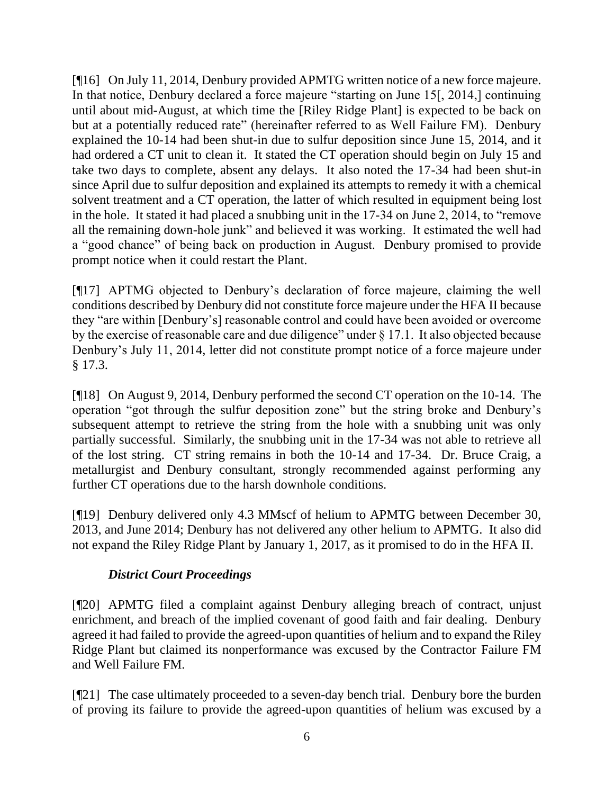[¶16] On July 11, 2014, Denbury provided APMTG written notice of a new force majeure. In that notice, Denbury declared a force majeure "starting on June 15[, 2014,] continuing until about mid-August, at which time the [Riley Ridge Plant] is expected to be back on but at a potentially reduced rate" (hereinafter referred to as Well Failure FM). Denbury explained the 10-14 had been shut-in due to sulfur deposition since June 15, 2014, and it had ordered a CT unit to clean it. It stated the CT operation should begin on July 15 and take two days to complete, absent any delays. It also noted the 17-34 had been shut-in since April due to sulfur deposition and explained its attempts to remedy it with a chemical solvent treatment and a CT operation, the latter of which resulted in equipment being lost in the hole. It stated it had placed a snubbing unit in the 17-34 on June 2, 2014, to "remove all the remaining down-hole junk" and believed it was working. It estimated the well had a "good chance" of being back on production in August. Denbury promised to provide prompt notice when it could restart the Plant.

[¶17] APTMG objected to Denbury's declaration of force majeure, claiming the well conditions described by Denbury did not constitute force majeure under the HFA II because they "are within [Denbury's] reasonable control and could have been avoided or overcome by the exercise of reasonable care and due diligence" under § 17.1. It also objected because Denbury's July 11, 2014, letter did not constitute prompt notice of a force majeure under § 17.3.

[¶18] On August 9, 2014, Denbury performed the second CT operation on the 10-14. The operation "got through the sulfur deposition zone" but the string broke and Denbury's subsequent attempt to retrieve the string from the hole with a snubbing unit was only partially successful. Similarly, the snubbing unit in the 17-34 was not able to retrieve all of the lost string. CT string remains in both the 10-14 and 17-34. Dr. Bruce Craig, a metallurgist and Denbury consultant, strongly recommended against performing any further CT operations due to the harsh downhole conditions.

[¶19] Denbury delivered only 4.3 MMscf of helium to APMTG between December 30, 2013, and June 2014; Denbury has not delivered any other helium to APMTG. It also did not expand the Riley Ridge Plant by January 1, 2017, as it promised to do in the HFA II.

# *District Court Proceedings*

[¶20] APMTG filed a complaint against Denbury alleging breach of contract, unjust enrichment, and breach of the implied covenant of good faith and fair dealing. Denbury agreed it had failed to provide the agreed-upon quantities of helium and to expand the Riley Ridge Plant but claimed its nonperformance was excused by the Contractor Failure FM and Well Failure FM.

[¶21] The case ultimately proceeded to a seven-day bench trial. Denbury bore the burden of proving its failure to provide the agreed-upon quantities of helium was excused by a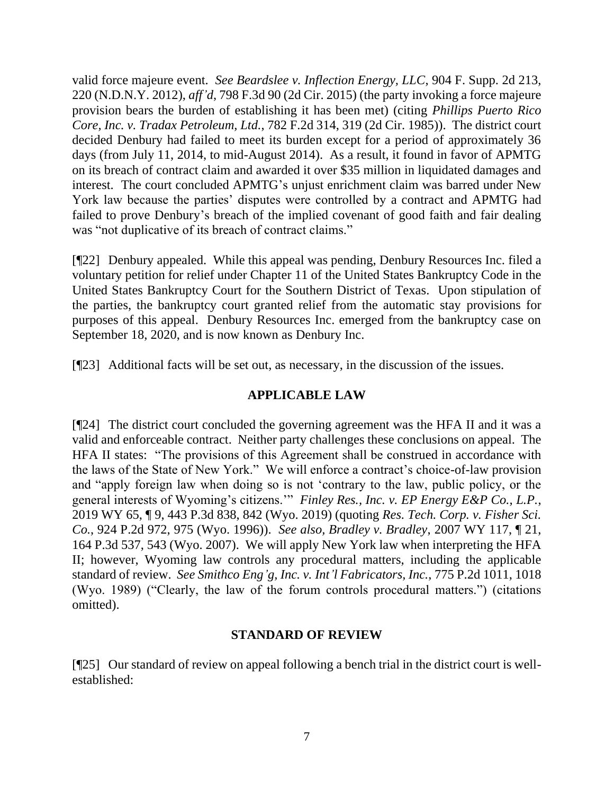valid force majeure event. *See Beardslee v. Inflection Energy, LLC*, 904 F. Supp. 2d 213, 220 (N.D.N.Y. 2012), *aff'd*, 798 F.3d 90 (2d Cir. 2015) (the party invoking a force majeure provision bears the burden of establishing it has been met) (citing *Phillips Puerto Rico Core, Inc. v. Tradax Petroleum, Ltd.*, 782 F.2d 314, 319 (2d Cir. 1985)). The district court decided Denbury had failed to meet its burden except for a period of approximately 36 days (from July 11, 2014, to mid-August 2014). As a result, it found in favor of APMTG on its breach of contract claim and awarded it over \$35 million in liquidated damages and interest. The court concluded APMTG's unjust enrichment claim was barred under New York law because the parties' disputes were controlled by a contract and APMTG had failed to prove Denbury's breach of the implied covenant of good faith and fair dealing was "not duplicative of its breach of contract claims."

[¶22] Denbury appealed. While this appeal was pending, Denbury Resources Inc. filed a voluntary petition for relief under Chapter 11 of the United States Bankruptcy Code in the United States Bankruptcy Court for the Southern District of Texas. Upon stipulation of the parties, the bankruptcy court granted relief from the automatic stay provisions for purposes of this appeal. Denbury Resources Inc. emerged from the bankruptcy case on September 18, 2020, and is now known as Denbury Inc.

[¶23] Additional facts will be set out, as necessary, in the discussion of the issues.

## **APPLICABLE LAW**

[¶24] The district court concluded the governing agreement was the HFA II and it was a valid and enforceable contract. Neither party challenges these conclusions on appeal. The HFA II states: "The provisions of this Agreement shall be construed in accordance with the laws of the State of New York." We will enforce a contract's choice-of-law provision and "apply foreign law when doing so is not 'contrary to the law, public policy, or the general interests of Wyoming's citizens.'" *Finley Res., Inc. v. EP Energy E&P Co., L.P.*, 2019 WY 65, ¶ 9, 443 P.3d 838, 842 (Wyo. 2019) (quoting *Res. Tech. Corp. v. Fisher Sci. Co.*, 924 P.2d 972, 975 (Wyo. 1996)). *See also, Bradley v. Bradley*, 2007 WY 117, ¶ 21, 164 P.3d 537, 543 (Wyo. 2007). We will apply New York law when interpreting the HFA II; however, Wyoming law controls any procedural matters, including the applicable standard of review. *See Smithco Eng'g, Inc. v. Int'l Fabricators, Inc.*, 775 P.2d 1011, 1018 (Wyo. 1989) ("Clearly, the law of the forum controls procedural matters.") (citations omitted).

#### **STANDARD OF REVIEW**

[¶25] Our standard of review on appeal following a bench trial in the district court is wellestablished: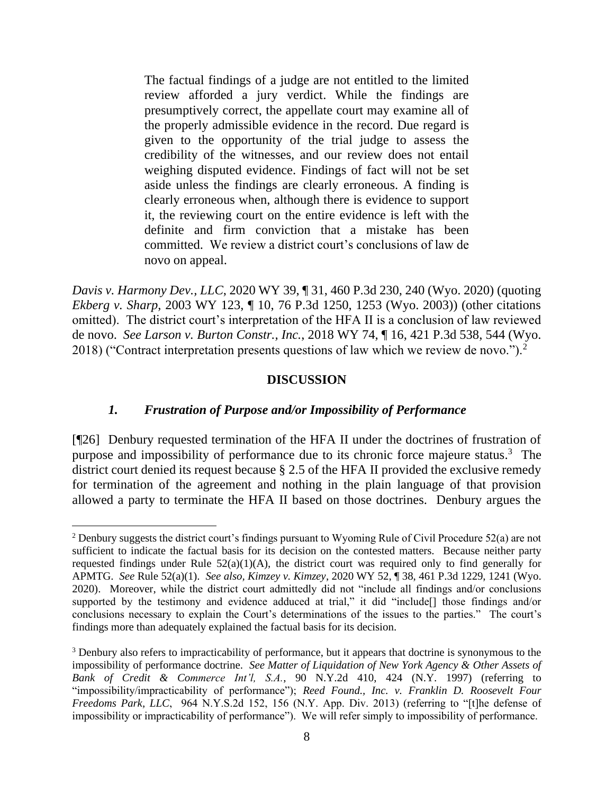The factual findings of a judge are not entitled to the limited review afforded a jury verdict. While the findings are presumptively correct, the appellate court may examine all of the properly admissible evidence in the record. Due regard is given to the opportunity of the trial judge to assess the credibility of the witnesses, and our review does not entail weighing disputed evidence. Findings of fact will not be set aside unless the findings are clearly erroneous. A finding is clearly erroneous when, although there is evidence to support it, the reviewing court on the entire evidence is left with the definite and firm conviction that a mistake has been committed. We review a district court's conclusions of law de novo on appeal.

*Davis v. Harmony Dev., LLC*, 2020 WY 39, ¶ 31, 460 P.3d 230, 240 (Wyo. 2020) (quoting *Ekberg v. Sharp*, 2003 WY 123, ¶ 10, 76 P.3d 1250, 1253 (Wyo. 2003)) (other citations omitted). The district court's interpretation of the HFA II is a conclusion of law reviewed de novo. *See Larson v. Burton Constr., Inc.*, 2018 WY 74, ¶ 16, 421 P.3d 538, 544 (Wyo. 2018) ("Contract interpretation presents questions of law which we review de novo.").<sup>2</sup>

#### **DISCUSSION**

## *1. Frustration of Purpose and/or Impossibility of Performance*

[¶26] Denbury requested termination of the HFA II under the doctrines of frustration of purpose and impossibility of performance due to its chronic force majeure status. 3 The district court denied its request because § 2.5 of the HFA II provided the exclusive remedy for termination of the agreement and nothing in the plain language of that provision allowed a party to terminate the HFA II based on those doctrines. Denbury argues the

<sup>&</sup>lt;sup>2</sup> Denbury suggests the district court's findings pursuant to Wyoming Rule of Civil Procedure 52(a) are not sufficient to indicate the factual basis for its decision on the contested matters. Because neither party requested findings under Rule  $52(a)(1)(A)$ , the district court was required only to find generally for APMTG. *See* Rule 52(a)(1). *See also, Kimzey v. Kimzey*, 2020 WY 52, ¶ 38, 461 P.3d 1229, 1241 (Wyo. 2020). Moreover, while the district court admittedly did not "include all findings and/or conclusions supported by the testimony and evidence adduced at trial," it did "include[] those findings and/or conclusions necessary to explain the Court's determinations of the issues to the parties." The court's findings more than adequately explained the factual basis for its decision.

<sup>3</sup> Denbury also refers to impracticability of performance, but it appears that doctrine is synonymous to the impossibility of performance doctrine. *See Matter of Liquidation of New York Agency & Other Assets of Bank of Credit & Commerce Int'l, S.A.*, 90 N.Y.2d 410, 424 (N.Y. 1997) (referring to "impossibility/impracticability of performance"); *Reed Found., Inc. v. Franklin D. Roosevelt Four Freedoms Park, LLC*, 964 N.Y.S.2d 152, 156 (N.Y. App. Div. 2013) (referring to "[t]he defense of impossibility or impracticability of performance"). We will refer simply to impossibility of performance.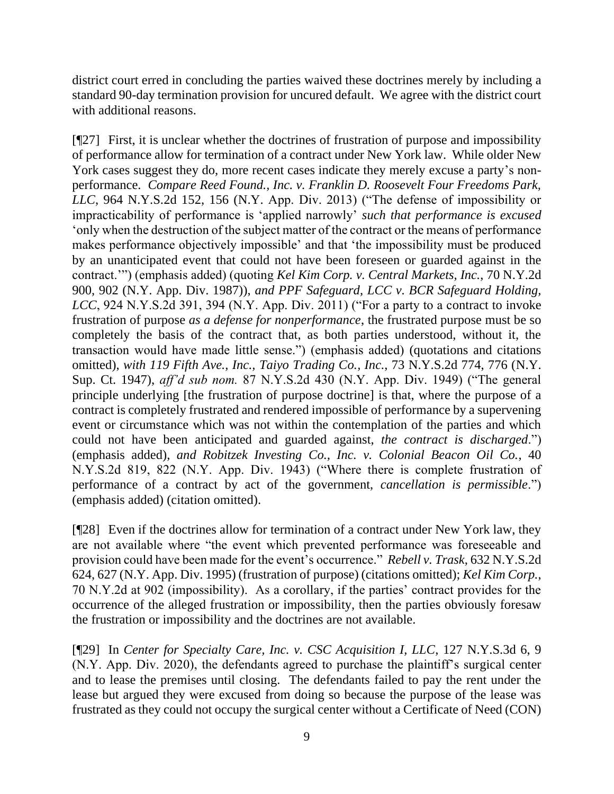district court erred in concluding the parties waived these doctrines merely by including a standard 90-day termination provision for uncured default. We agree with the district court with additional reasons.

[¶27] First, it is unclear whether the doctrines of frustration of purpose and impossibility of performance allow for termination of a contract under New York law. While older New York cases suggest they do, more recent cases indicate they merely excuse a party's nonperformance. *Compare Reed Found., Inc. v. Franklin D. Roosevelt Four Freedoms Park, LLC*, 964 N.Y.S.2d 152, 156 (N.Y. App. Div. 2013) ("The defense of impossibility or impracticability of performance is 'applied narrowly' *such that performance is excused* 'only when the destruction of the subject matter of the contract or the means of performance makes performance objectively impossible' and that 'the impossibility must be produced by an unanticipated event that could not have been foreseen or guarded against in the contract.'") (emphasis added) (quoting *Kel Kim Corp. v. Central Markets, Inc.*, 70 N.Y.2d 900, 902 (N.Y. App. Div. 1987)), *and PPF Safeguard, LCC v. BCR Safeguard Holding, LCC*, 924 N.Y.S.2d 391, 394 (N.Y. App. Div. 2011) ("For a party to a contract to invoke frustration of purpose *as a defense for nonperformance*, the frustrated purpose must be so completely the basis of the contract that, as both parties understood, without it, the transaction would have made little sense.") (emphasis added) (quotations and citations omitted), *with 119 Fifth Ave., Inc., Taiyo Trading Co., Inc.*, 73 N.Y.S.2d 774, 776 (N.Y. Sup. Ct. 1947), *aff'd sub nom.* 87 N.Y.S.2d 430 (N.Y. App. Div. 1949) ("The general principle underlying [the frustration of purpose doctrine] is that, where the purpose of a contract is completely frustrated and rendered impossible of performance by a supervening event or circumstance which was not within the contemplation of the parties and which could not have been anticipated and guarded against, *the contract is discharged*.") (emphasis added), *and Robitzek Investing Co., Inc. v. Colonial Beacon Oil Co.*, 40 N.Y.S.2d 819, 822 (N.Y. App. Div. 1943) ("Where there is complete frustration of performance of a contract by act of the government, *cancellation is permissible*.") (emphasis added) (citation omitted).

[¶28] Even if the doctrines allow for termination of a contract under New York law, they are not available where "the event which prevented performance was foreseeable and provision could have been made for the event's occurrence." *Rebell v. Trask*, 632 N.Y.S.2d 624, 627 (N.Y. App. Div. 1995) (frustration of purpose) (citations omitted); *Kel Kim Corp.*, 70 N.Y.2d at 902 (impossibility). As a corollary, if the parties' contract provides for the occurrence of the alleged frustration or impossibility, then the parties obviously foresaw the frustration or impossibility and the doctrines are not available.

[¶29] In *Center for Specialty Care, Inc. v. CSC Acquisition I, LLC*, 127 N.Y.S.3d 6, 9 (N.Y. App. Div. 2020), the defendants agreed to purchase the plaintiff's surgical center and to lease the premises until closing. The defendants failed to pay the rent under the lease but argued they were excused from doing so because the purpose of the lease was frustrated as they could not occupy the surgical center without a Certificate of Need (CON)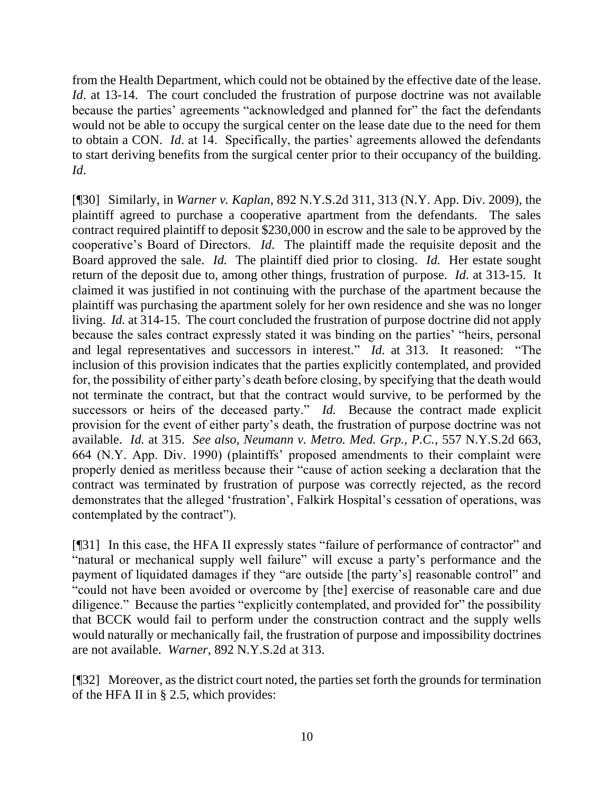from the Health Department, which could not be obtained by the effective date of the lease. *Id.* at 13-14. The court concluded the frustration of purpose doctrine was not available because the parties' agreements "acknowledged and planned for" the fact the defendants would not be able to occupy the surgical center on the lease date due to the need for them to obtain a CON. *Id*. at 14. Specifically, the parties' agreements allowed the defendants to start deriving benefits from the surgical center prior to their occupancy of the building. *Id*.

[¶30] Similarly, in *Warner v. Kaplan*, 892 N.Y.S.2d 311, 313 (N.Y. App. Div. 2009), the plaintiff agreed to purchase a cooperative apartment from the defendants. The sales contract required plaintiff to deposit \$230,000 in escrow and the sale to be approved by the cooperative's Board of Directors. *Id*. The plaintiff made the requisite deposit and the Board approved the sale. *Id.* The plaintiff died prior to closing. *Id.* Her estate sought return of the deposit due to, among other things, frustration of purpose. *Id*. at 313-15. It claimed it was justified in not continuing with the purchase of the apartment because the plaintiff was purchasing the apartment solely for her own residence and she was no longer living. *Id.* at 314-15. The court concluded the frustration of purpose doctrine did not apply because the sales contract expressly stated it was binding on the parties' "heirs, personal and legal representatives and successors in interest." *Id.* at 313. It reasoned: "The inclusion of this provision indicates that the parties explicitly contemplated, and provided for, the possibility of either party's death before closing, by specifying that the death would not terminate the contract, but that the contract would survive, to be performed by the successors or heirs of the deceased party." *Id.* Because the contract made explicit provision for the event of either party's death, the frustration of purpose doctrine was not available. *Id.* at 315. *See also, Neumann v. Metro. Med. Grp., P.C.*, 557 N.Y.S.2d 663, 664 (N.Y. App. Div. 1990) (plaintiffs' proposed amendments to their complaint were properly denied as meritless because their "cause of action seeking a declaration that the contract was terminated by frustration of purpose was correctly rejected, as the record demonstrates that the alleged 'frustration', Falkirk Hospital's cessation of operations, was contemplated by the contract").

[¶31] In this case, the HFA II expressly states "failure of performance of contractor" and "natural or mechanical supply well failure" will excuse a party's performance and the payment of liquidated damages if they "are outside [the party's] reasonable control" and "could not have been avoided or overcome by [the] exercise of reasonable care and due diligence." Because the parties "explicitly contemplated, and provided for" the possibility that BCCK would fail to perform under the construction contract and the supply wells would naturally or mechanically fail, the frustration of purpose and impossibility doctrines are not available. *Warner*, 892 N.Y.S.2d at 313.

[¶32] Moreover, as the district court noted, the parties set forth the grounds for termination of the HFA II in § 2.5, which provides: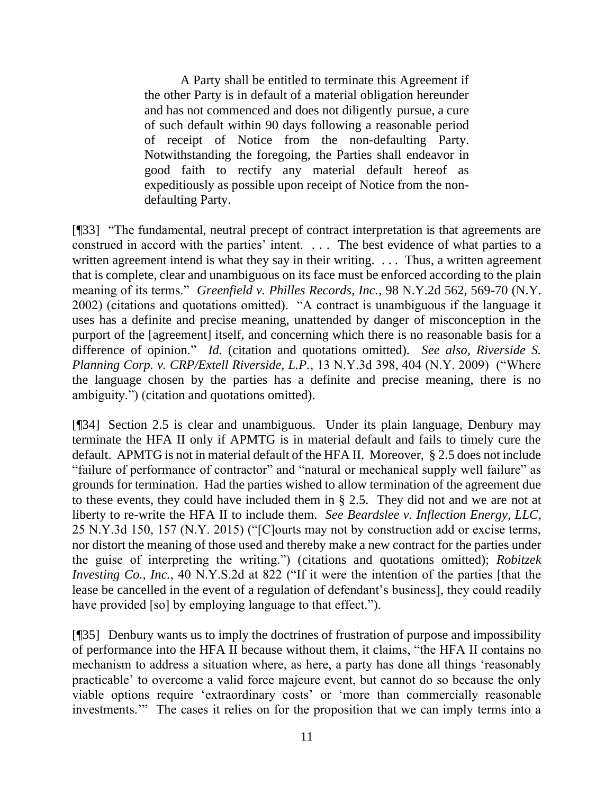A Party shall be entitled to terminate this Agreement if the other Party is in default of a material obligation hereunder and has not commenced and does not diligently pursue, a cure of such default within 90 days following a reasonable period of receipt of Notice from the non-defaulting Party. Notwithstanding the foregoing, the Parties shall endeavor in good faith to rectify any material default hereof as expeditiously as possible upon receipt of Notice from the nondefaulting Party.

[¶33] "The fundamental, neutral precept of contract interpretation is that agreements are construed in accord with the parties' intent. . . . The best evidence of what parties to a written agreement intend is what they say in their writing. ... Thus, a written agreement that is complete, clear and unambiguous on its face must be enforced according to the plain meaning of its terms." *Greenfield v. Philles Records, Inc.*, 98 N.Y.2d 562, 569-70 (N.Y. 2002) (citations and quotations omitted). "A contract is unambiguous if the language it uses has a definite and precise meaning, unattended by danger of misconception in the purport of the [agreement] itself, and concerning which there is no reasonable basis for a difference of opinion." *Id.* (citation and quotations omitted). *See also, Riverside S. Planning Corp. v. CRP/Extell Riverside, L.P.*, 13 N.Y.3d 398, 404 (N.Y. 2009) ("Where the language chosen by the parties has a definite and precise meaning, there is no ambiguity.") (citation and quotations omitted).

[¶34] Section 2.5 is clear and unambiguous. Under its plain language, Denbury may terminate the HFA II only if APMTG is in material default and fails to timely cure the default. APMTG is not in material default of the HFA II. Moreover, § 2.5 does not include "failure of performance of contractor" and "natural or mechanical supply well failure" as grounds for termination. Had the parties wished to allow termination of the agreement due to these events, they could have included them in § 2.5. They did not and we are not at liberty to re-write the HFA II to include them. *See Beardslee v. Inflection Energy, LLC*, 25 N.Y.3d 150, 157 (N.Y. 2015) ("[C]ourts may not by construction add or excise terms, nor distort the meaning of those used and thereby make a new contract for the parties under the guise of interpreting the writing.") (citations and quotations omitted); *Robitzek Investing Co., Inc.*, 40 N.Y.S.2d at 822 ("If it were the intention of the parties [that the lease be cancelled in the event of a regulation of defendant's business], they could readily have provided [so] by employing language to that effect.").

[¶35] Denbury wants us to imply the doctrines of frustration of purpose and impossibility of performance into the HFA II because without them, it claims, "the HFA II contains no mechanism to address a situation where, as here, a party has done all things 'reasonably practicable' to overcome a valid force majeure event, but cannot do so because the only viable options require 'extraordinary costs' or 'more than commercially reasonable investments.'" The cases it relies on for the proposition that we can imply terms into a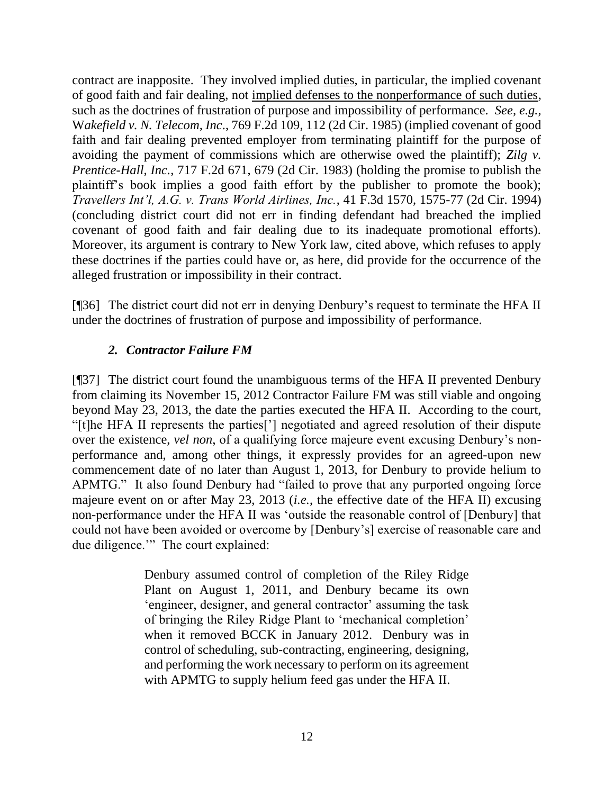contract are inapposite. They involved implied duties, in particular, the implied covenant of good faith and fair dealing, not implied defenses to the nonperformance of such duties, such as the doctrines of frustration of purpose and impossibility of performance. *See, e.g.,* W*akefield v. N. Telecom, Inc*., 769 F.2d 109, 112 (2d Cir. 1985) (implied covenant of good faith and fair dealing prevented employer from terminating plaintiff for the purpose of avoiding the payment of commissions which are otherwise owed the plaintiff); *Zilg v. Prentice-Hall, Inc.*, 717 F.2d 671, 679 (2d Cir. 1983) (holding the promise to publish the plaintiff's book implies a good faith effort by the publisher to promote the book); *Travellers Int'l, A.G. v. Trans World Airlines, Inc.*, 41 F.3d 1570, 1575-77 (2d Cir. 1994) (concluding district court did not err in finding defendant had breached the implied covenant of good faith and fair dealing due to its inadequate promotional efforts). Moreover, its argument is contrary to New York law, cited above, which refuses to apply these doctrines if the parties could have or, as here, did provide for the occurrence of the alleged frustration or impossibility in their contract.

[¶36] The district court did not err in denying Denbury's request to terminate the HFA II under the doctrines of frustration of purpose and impossibility of performance.

# *2. Contractor Failure FM*

[¶37] The district court found the unambiguous terms of the HFA II prevented Denbury from claiming its November 15, 2012 Contractor Failure FM was still viable and ongoing beyond May 23, 2013, the date the parties executed the HFA II. According to the court, "[t]he HFA II represents the parties['] negotiated and agreed resolution of their dispute over the existence, *vel non*, of a qualifying force majeure event excusing Denbury's nonperformance and, among other things, it expressly provides for an agreed-upon new commencement date of no later than August 1, 2013, for Denbury to provide helium to APMTG." It also found Denbury had "failed to prove that any purported ongoing force majeure event on or after May 23, 2013 (*i.e.*, the effective date of the HFA II) excusing non-performance under the HFA II was 'outside the reasonable control of [Denbury] that could not have been avoided or overcome by [Denbury's] exercise of reasonable care and due diligence." The court explained:

> Denbury assumed control of completion of the Riley Ridge Plant on August 1, 2011, and Denbury became its own 'engineer, designer, and general contractor' assuming the task of bringing the Riley Ridge Plant to 'mechanical completion' when it removed BCCK in January 2012. Denbury was in control of scheduling, sub-contracting, engineering, designing, and performing the work necessary to perform on its agreement with APMTG to supply helium feed gas under the HFA II.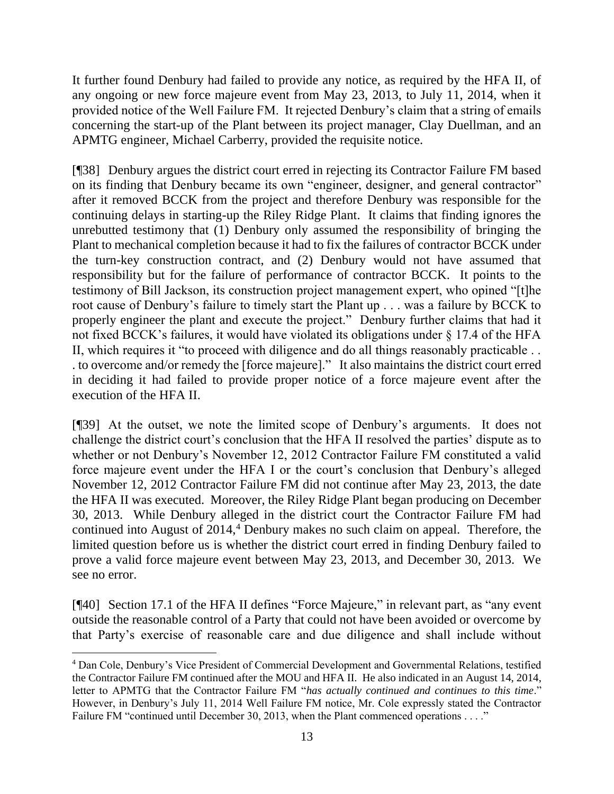It further found Denbury had failed to provide any notice, as required by the HFA II, of any ongoing or new force majeure event from May 23, 2013, to July 11, 2014, when it provided notice of the Well Failure FM. It rejected Denbury's claim that a string of emails concerning the start-up of the Plant between its project manager, Clay Duellman, and an APMTG engineer, Michael Carberry, provided the requisite notice.

[¶38] Denbury argues the district court erred in rejecting its Contractor Failure FM based on its finding that Denbury became its own "engineer, designer, and general contractor" after it removed BCCK from the project and therefore Denbury was responsible for the continuing delays in starting-up the Riley Ridge Plant. It claims that finding ignores the unrebutted testimony that (1) Denbury only assumed the responsibility of bringing the Plant to mechanical completion because it had to fix the failures of contractor BCCK under the turn-key construction contract, and (2) Denbury would not have assumed that responsibility but for the failure of performance of contractor BCCK. It points to the testimony of Bill Jackson, its construction project management expert, who opined "[t]he root cause of Denbury's failure to timely start the Plant up . . . was a failure by BCCK to properly engineer the plant and execute the project." Denbury further claims that had it not fixed BCCK's failures, it would have violated its obligations under  $\S 17.4$  of the HFA II, which requires it "to proceed with diligence and do all things reasonably practicable . . . to overcome and/or remedy the [force majeure]." It also maintains the district court erred in deciding it had failed to provide proper notice of a force majeure event after the execution of the HFA II.

[¶39] At the outset, we note the limited scope of Denbury's arguments. It does not challenge the district court's conclusion that the HFA II resolved the parties' dispute as to whether or not Denbury's November 12, 2012 Contractor Failure FM constituted a valid force majeure event under the HFA I or the court's conclusion that Denbury's alleged November 12, 2012 Contractor Failure FM did not continue after May 23, 2013, the date the HFA II was executed. Moreover, the Riley Ridge Plant began producing on December 30, 2013. While Denbury alleged in the district court the Contractor Failure FM had continued into August of  $2014<sup>4</sup>$  Denbury makes no such claim on appeal. Therefore, the limited question before us is whether the district court erred in finding Denbury failed to prove a valid force majeure event between May 23, 2013, and December 30, 2013. We see no error.

[¶40] Section 17.1 of the HFA II defines "Force Majeure," in relevant part, as "any event outside the reasonable control of a Party that could not have been avoided or overcome by that Party's exercise of reasonable care and due diligence and shall include without

<sup>4</sup> Dan Cole, Denbury's Vice President of Commercial Development and Governmental Relations, testified the Contractor Failure FM continued after the MOU and HFA II. He also indicated in an August 14, 2014, letter to APMTG that the Contractor Failure FM "*has actually continued and continues to this time*." However, in Denbury's July 11, 2014 Well Failure FM notice, Mr. Cole expressly stated the Contractor Failure FM "continued until December 30, 2013, when the Plant commenced operations . . . ."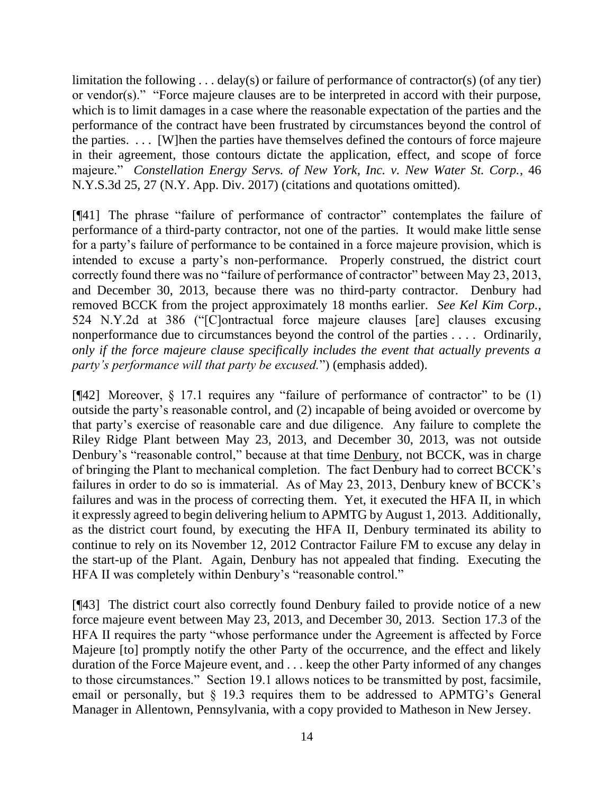limitation the following . . . delay(s) or failure of performance of contractor(s) (of any tier) or vendor(s)." "Force majeure clauses are to be interpreted in accord with their purpose, which is to limit damages in a case where the reasonable expectation of the parties and the performance of the contract have been frustrated by circumstances beyond the control of the parties. . . . [W]hen the parties have themselves defined the contours of force majeure in their agreement, those contours dictate the application, effect, and scope of force majeure." *Constellation Energy Servs. of New York, Inc. v. New Water St. Corp.*, 46 N.Y.S.3d 25, 27 (N.Y. App. Div. 2017) (citations and quotations omitted).

[¶41] The phrase "failure of performance of contractor" contemplates the failure of performance of a third-party contractor, not one of the parties. It would make little sense for a party's failure of performance to be contained in a force majeure provision, which is intended to excuse a party's non-performance. Properly construed, the district court correctly found there was no "failure of performance of contractor" between May 23, 2013, and December 30, 2013, because there was no third-party contractor. Denbury had removed BCCK from the project approximately 18 months earlier. *See Kel Kim Corp.*, 524 N.Y.2d at 386 ("[C]ontractual force majeure clauses [are] clauses excusing nonperformance due to circumstances beyond the control of the parties . . . . Ordinarily, *only if the force majeure clause specifically includes the event that actually prevents a party's performance will that party be excused.*") (emphasis added).

[¶42] Moreover, § 17.1 requires any "failure of performance of contractor" to be (1) outside the party's reasonable control, and (2) incapable of being avoided or overcome by that party's exercise of reasonable care and due diligence. Any failure to complete the Riley Ridge Plant between May 23, 2013, and December 30, 2013, was not outside Denbury's "reasonable control," because at that time Denbury, not BCCK, was in charge of bringing the Plant to mechanical completion. The fact Denbury had to correct BCCK's failures in order to do so is immaterial. As of May 23, 2013, Denbury knew of BCCK's failures and was in the process of correcting them. Yet, it executed the HFA II, in which it expressly agreed to begin delivering helium to APMTG by August 1, 2013. Additionally, as the district court found, by executing the HFA II, Denbury terminated its ability to continue to rely on its November 12, 2012 Contractor Failure FM to excuse any delay in the start-up of the Plant. Again, Denbury has not appealed that finding. Executing the HFA II was completely within Denbury's "reasonable control."

[¶43] The district court also correctly found Denbury failed to provide notice of a new force majeure event between May 23, 2013, and December 30, 2013. Section 17.3 of the HFA II requires the party "whose performance under the Agreement is affected by Force Majeure [to] promptly notify the other Party of the occurrence, and the effect and likely duration of the Force Majeure event, and . . . keep the other Party informed of any changes to those circumstances." Section 19.1 allows notices to be transmitted by post, facsimile, email or personally, but § 19.3 requires them to be addressed to APMTG's General Manager in Allentown, Pennsylvania, with a copy provided to Matheson in New Jersey.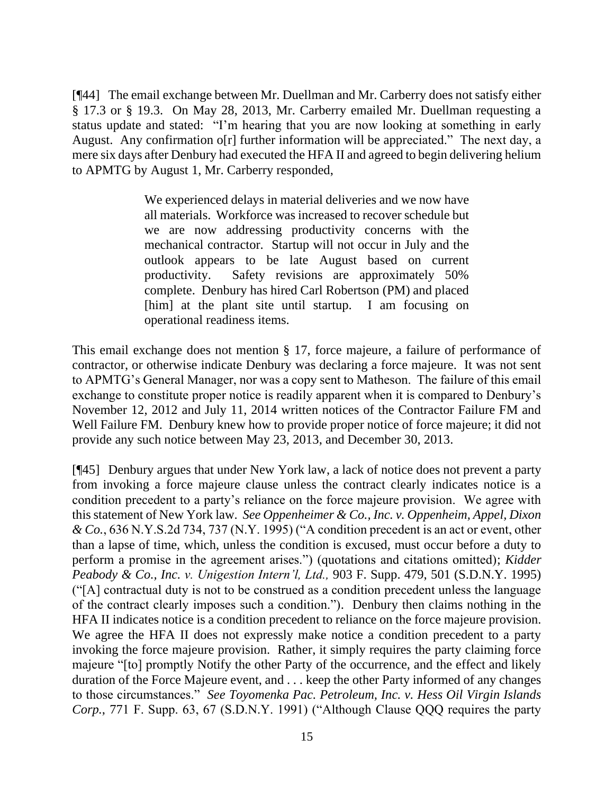[¶44] The email exchange between Mr. Duellman and Mr. Carberry does not satisfy either § 17.3 or § 19.3. On May 28, 2013, Mr. Carberry emailed Mr. Duellman requesting a status update and stated: "I'm hearing that you are now looking at something in early August. Any confirmation o[r] further information will be appreciated." The next day, a mere six days after Denbury had executed the HFA II and agreed to begin delivering helium to APMTG by August 1, Mr. Carberry responded,

> We experienced delays in material deliveries and we now have all materials. Workforce was increased to recover schedule but we are now addressing productivity concerns with the mechanical contractor. Startup will not occur in July and the outlook appears to be late August based on current productivity. Safety revisions are approximately 50% complete. Denbury has hired Carl Robertson (PM) and placed [him] at the plant site until startup. I am focusing on operational readiness items.

This email exchange does not mention § 17, force majeure, a failure of performance of contractor, or otherwise indicate Denbury was declaring a force majeure. It was not sent to APMTG's General Manager, nor was a copy sent to Matheson. The failure of this email exchange to constitute proper notice is readily apparent when it is compared to Denbury's November 12, 2012 and July 11, 2014 written notices of the Contractor Failure FM and Well Failure FM. Denbury knew how to provide proper notice of force majeure; it did not provide any such notice between May 23, 2013, and December 30, 2013.

[¶45] Denbury argues that under New York law, a lack of notice does not prevent a party from invoking a force majeure clause unless the contract clearly indicates notice is a condition precedent to a party's reliance on the force majeure provision. We agree with this statement of New York law. *See Oppenheimer & Co., Inc. v. Oppenheim, Appel, Dixon & Co.*, 636 N.Y.S.2d 734, 737 (N.Y. 1995) ("A condition precedent is an act or event, other than a lapse of time, which, unless the condition is excused, must occur before a duty to perform a promise in the agreement arises.") (quotations and citations omitted); *Kidder Peabody & Co., Inc. v. Unigestion Intern'l, Ltd.,* 903 F. Supp. 479, 501 (S.D.N.Y. 1995) ("[A] contractual duty is not to be construed as a condition precedent unless the language of the contract clearly imposes such a condition."). Denbury then claims nothing in the HFA II indicates notice is a condition precedent to reliance on the force majeure provision. We agree the HFA II does not expressly make notice a condition precedent to a party invoking the force majeure provision. Rather, it simply requires the party claiming force majeure "[to] promptly Notify the other Party of the occurrence, and the effect and likely duration of the Force Majeure event, and . . . keep the other Party informed of any changes to those circumstances." *See Toyomenka Pac. Petroleum, Inc. v. Hess Oil Virgin Islands Corp.*, 771 F. Supp. 63, 67 (S.D.N.Y. 1991) ("Although Clause QQQ requires the party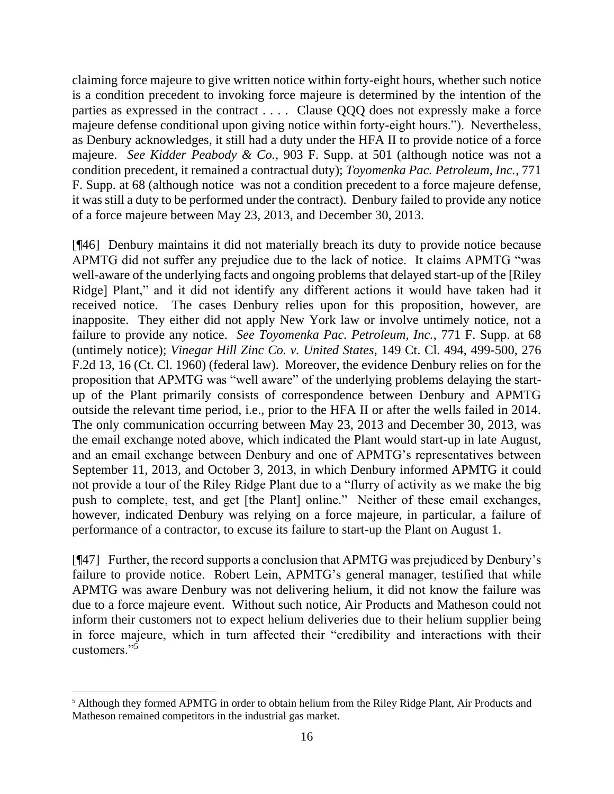claiming force majeure to give written notice within forty-eight hours, whether such notice is a condition precedent to invoking force majeure is determined by the intention of the parties as expressed in the contract . . . . Clause QQQ does not expressly make a force majeure defense conditional upon giving notice within forty-eight hours."). Nevertheless, as Denbury acknowledges, it still had a duty under the HFA II to provide notice of a force majeure. *See Kidder Peabody & Co.,* 903 F. Supp. at 501 (although notice was not a condition precedent, it remained a contractual duty); *Toyomenka Pac. Petroleum, Inc.*, 771 F. Supp. at 68 (although notice was not a condition precedent to a force majeure defense, it was still a duty to be performed under the contract). Denbury failed to provide any notice of a force majeure between May 23, 2013, and December 30, 2013.

[¶46] Denbury maintains it did not materially breach its duty to provide notice because APMTG did not suffer any prejudice due to the lack of notice. It claims APMTG "was well-aware of the underlying facts and ongoing problems that delayed start-up of the [Riley Ridge] Plant," and it did not identify any different actions it would have taken had it received notice. The cases Denbury relies upon for this proposition, however, are inapposite. They either did not apply New York law or involve untimely notice, not a failure to provide any notice. *See Toyomenka Pac. Petroleum, Inc.*, 771 F. Supp. at 68 (untimely notice); *Vinegar Hill Zinc Co. v. United States*, 149 Ct. Cl. 494, 499-500, 276 F.2d 13, 16 (Ct. Cl. 1960) (federal law). Moreover, the evidence Denbury relies on for the proposition that APMTG was "well aware" of the underlying problems delaying the startup of the Plant primarily consists of correspondence between Denbury and APMTG outside the relevant time period, i.e., prior to the HFA II or after the wells failed in 2014. The only communication occurring between May 23, 2013 and December 30, 2013, was the email exchange noted above, which indicated the Plant would start-up in late August, and an email exchange between Denbury and one of APMTG's representatives between September 11, 2013, and October 3, 2013, in which Denbury informed APMTG it could not provide a tour of the Riley Ridge Plant due to a "flurry of activity as we make the big push to complete, test, and get [the Plant] online." Neither of these email exchanges, however, indicated Denbury was relying on a force majeure, in particular, a failure of performance of a contractor, to excuse its failure to start-up the Plant on August 1.

[¶47] Further, the record supports a conclusion that APMTG was prejudiced by Denbury's failure to provide notice. Robert Lein, APMTG's general manager, testified that while APMTG was aware Denbury was not delivering helium, it did not know the failure was due to a force majeure event. Without such notice, Air Products and Matheson could not inform their customers not to expect helium deliveries due to their helium supplier being in force majeure, which in turn affected their "credibility and interactions with their customers."<sup>5</sup>

<sup>5</sup> Although they formed APMTG in order to obtain helium from the Riley Ridge Plant, Air Products and Matheson remained competitors in the industrial gas market.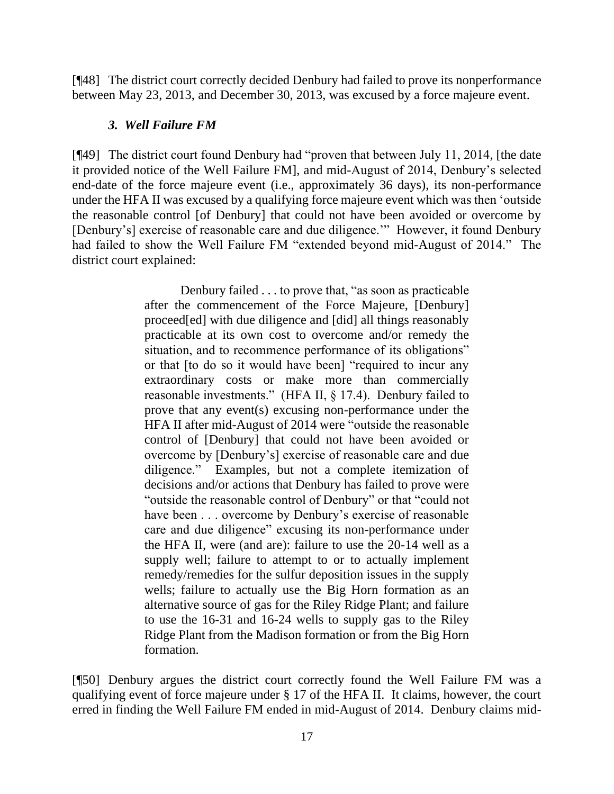[¶48] The district court correctly decided Denbury had failed to prove its nonperformance between May 23, 2013, and December 30, 2013, was excused by a force majeure event.

#### *3. Well Failure FM*

[¶49] The district court found Denbury had "proven that between July 11, 2014, [the date it provided notice of the Well Failure FM], and mid-August of 2014, Denbury's selected end-date of the force majeure event (i.e., approximately 36 days), its non-performance under the HFA II was excused by a qualifying force majeure event which was then 'outside the reasonable control [of Denbury] that could not have been avoided or overcome by [Denbury's] exercise of reasonable care and due diligence."" However, it found Denbury had failed to show the Well Failure FM "extended beyond mid-August of 2014." The district court explained:

> Denbury failed . . . to prove that, "as soon as practicable after the commencement of the Force Majeure, [Denbury] proceed[ed] with due diligence and [did] all things reasonably practicable at its own cost to overcome and/or remedy the situation, and to recommence performance of its obligations" or that [to do so it would have been] "required to incur any extraordinary costs or make more than commercially reasonable investments." (HFA II, § 17.4). Denbury failed to prove that any event(s) excusing non-performance under the HFA II after mid-August of 2014 were "outside the reasonable control of [Denbury] that could not have been avoided or overcome by [Denbury's] exercise of reasonable care and due diligence." Examples, but not a complete itemization of decisions and/or actions that Denbury has failed to prove were "outside the reasonable control of Denbury" or that "could not have been . . . overcome by Denbury's exercise of reasonable care and due diligence" excusing its non-performance under the HFA II, were (and are): failure to use the 20-14 well as a supply well; failure to attempt to or to actually implement remedy/remedies for the sulfur deposition issues in the supply wells; failure to actually use the Big Horn formation as an alternative source of gas for the Riley Ridge Plant; and failure to use the 16-31 and 16-24 wells to supply gas to the Riley Ridge Plant from the Madison formation or from the Big Horn formation.

[¶50] Denbury argues the district court correctly found the Well Failure FM was a qualifying event of force majeure under § 17 of the HFA II. It claims, however, the court erred in finding the Well Failure FM ended in mid-August of 2014. Denbury claims mid-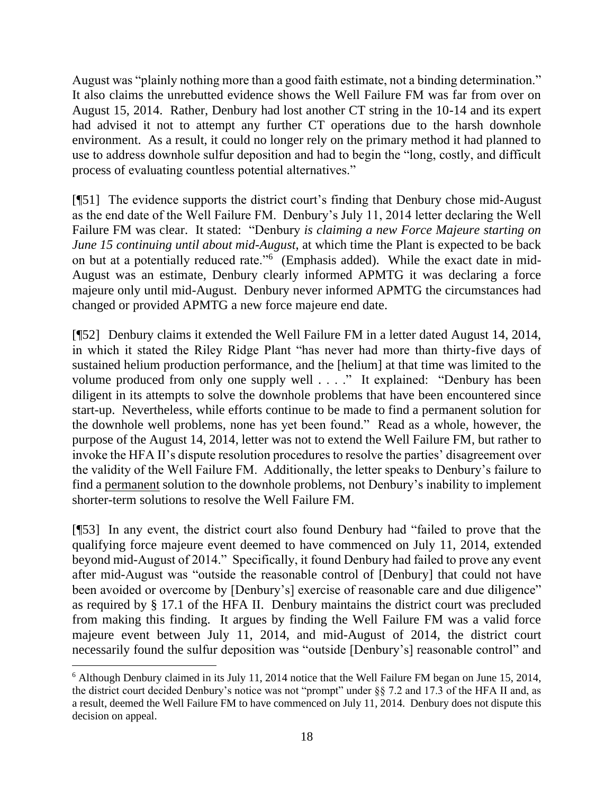August was "plainly nothing more than a good faith estimate, not a binding determination." It also claims the unrebutted evidence shows the Well Failure FM was far from over on August 15, 2014. Rather, Denbury had lost another CT string in the 10-14 and its expert had advised it not to attempt any further CT operations due to the harsh downhole environment. As a result, it could no longer rely on the primary method it had planned to use to address downhole sulfur deposition and had to begin the "long, costly, and difficult process of evaluating countless potential alternatives."

[¶51] The evidence supports the district court's finding that Denbury chose mid-August as the end date of the Well Failure FM. Denbury's July 11, 2014 letter declaring the Well Failure FM was clear. It stated: "Denbury *is claiming a new Force Majeure starting on June 15 continuing until about mid-August*, at which time the Plant is expected to be back on but at a potentially reduced rate."<sup>6</sup> (Emphasis added). While the exact date in mid-August was an estimate, Denbury clearly informed APMTG it was declaring a force majeure only until mid-August. Denbury never informed APMTG the circumstances had changed or provided APMTG a new force majeure end date.

[¶52] Denbury claims it extended the Well Failure FM in a letter dated August 14, 2014, in which it stated the Riley Ridge Plant "has never had more than thirty-five days of sustained helium production performance, and the [helium] at that time was limited to the volume produced from only one supply well . . . ." It explained: "Denbury has been diligent in its attempts to solve the downhole problems that have been encountered since start-up. Nevertheless, while efforts continue to be made to find a permanent solution for the downhole well problems, none has yet been found." Read as a whole, however, the purpose of the August 14, 2014, letter was not to extend the Well Failure FM, but rather to invoke the HFA II's dispute resolution procedures to resolve the parties' disagreement over the validity of the Well Failure FM. Additionally, the letter speaks to Denbury's failure to find a permanent solution to the downhole problems, not Denbury's inability to implement shorter-term solutions to resolve the Well Failure FM.

[¶53] In any event, the district court also found Denbury had "failed to prove that the qualifying force majeure event deemed to have commenced on July 11, 2014, extended beyond mid-August of 2014." Specifically, it found Denbury had failed to prove any event after mid-August was "outside the reasonable control of [Denbury] that could not have been avoided or overcome by [Denbury's] exercise of reasonable care and due diligence" as required by § 17.1 of the HFA II. Denbury maintains the district court was precluded from making this finding. It argues by finding the Well Failure FM was a valid force majeure event between July 11, 2014, and mid-August of 2014, the district court necessarily found the sulfur deposition was "outside [Denbury's] reasonable control" and

<sup>6</sup> Although Denbury claimed in its July 11, 2014 notice that the Well Failure FM began on June 15, 2014, the district court decided Denbury's notice was not "prompt" under §§ 7.2 and 17.3 of the HFA II and, as a result, deemed the Well Failure FM to have commenced on July 11, 2014. Denbury does not dispute this decision on appeal.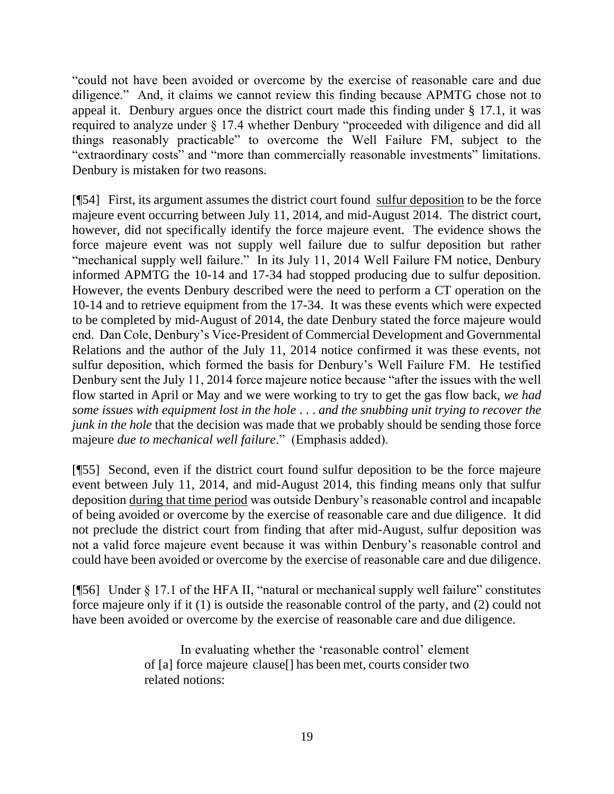"could not have been avoided or overcome by the exercise of reasonable care and due diligence." And, it claims we cannot review this finding because APMTG chose not to appeal it. Denbury argues once the district court made this finding under § 17.1, it was required to analyze under § 17.4 whether Denbury "proceeded with diligence and did all things reasonably practicable" to overcome the Well Failure FM, subject to the "extraordinary costs" and "more than commercially reasonable investments" limitations. Denbury is mistaken for two reasons.

[¶54] First, its argument assumes the district court found sulfur deposition to be the force majeure event occurring between July 11, 2014, and mid-August 2014. The district court, however, did not specifically identify the force majeure event. The evidence shows the force majeure event was not supply well failure due to sulfur deposition but rather "mechanical supply well failure." In its July 11, 2014 Well Failure FM notice, Denbury informed APMTG the 10-14 and 17-34 had stopped producing due to sulfur deposition. However, the events Denbury described were the need to perform a CT operation on the 10-14 and to retrieve equipment from the 17-34. It was these events which were expected to be completed by mid-August of 2014, the date Denbury stated the force majeure would end. Dan Cole, Denbury's Vice-President of Commercial Development and Governmental Relations and the author of the July 11, 2014 notice confirmed it was these events, not sulfur deposition, which formed the basis for Denbury's Well Failure FM. He testified Denbury sent the July 11, 2014 force majeure notice because "after the issues with the well flow started in April or May and we were working to try to get the gas flow back, *we had some issues with equipment lost in the hole* . . . *and the snubbing unit trying to recover the junk in the hole* that the decision was made that we probably should be sending those force majeure *due to mechanical well failure*." (Emphasis added).

[¶55] Second, even if the district court found sulfur deposition to be the force majeure event between July 11, 2014, and mid-August 2014, this finding means only that sulfur deposition during that time period was outside Denbury's reasonable control and incapable of being avoided or overcome by the exercise of reasonable care and due diligence. It did not preclude the district court from finding that after mid-August, sulfur deposition was not a valid force majeure event because it was within Denbury's reasonable control and could have been avoided or overcome by the exercise of reasonable care and due diligence.

[¶56] Under § 17.1 of the HFA II, "natural or mechanical supply well failure" constitutes force majeure only if it (1) is outside the reasonable control of the party, and (2) could not have been avoided or overcome by the exercise of reasonable care and due diligence.

> In evaluating whether the 'reasonable control' element of [a] force majeure clause[] has been met, courts consider two related notions: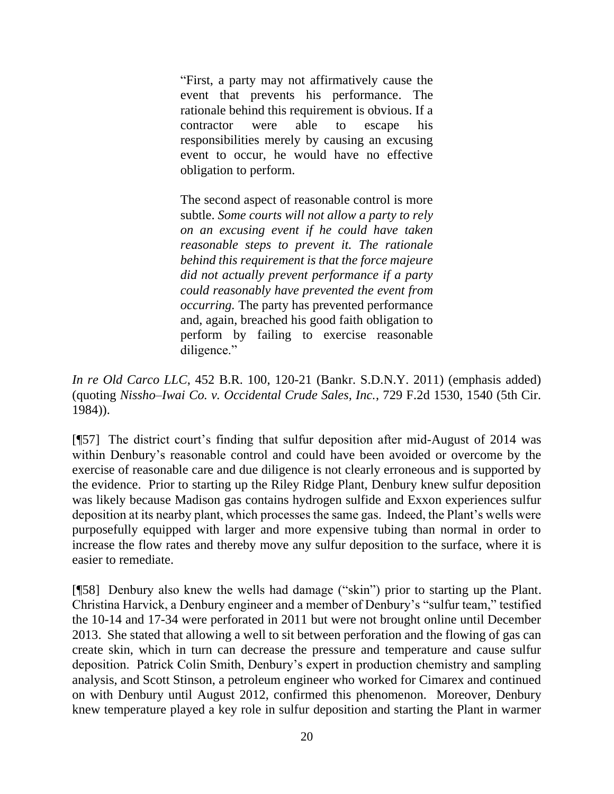"First, a party may not affirmatively cause the event that prevents his performance. The rationale behind this requirement is obvious. If a contractor were able to escape his responsibilities merely by causing an excusing event to occur, he would have no effective obligation to perform.

The second aspect of reasonable control is more subtle. *Some courts will not allow a party to rely on an excusing event if he could have taken reasonable steps to prevent it. The rationale behind this requirement is that the force majeure did not actually prevent performance if a party could reasonably have prevented the event from occurring.* The party has prevented performance and, again, breached his good faith obligation to perform by failing to exercise reasonable diligence."

*In re Old Carco LLC*, 452 B.R. 100, 120-21 (Bankr. S.D.N.Y. 2011) (emphasis added) (quoting *Nissho–Iwai Co. v. Occidental Crude Sales, Inc.*, 729 F.2d 1530, 1540 (5th Cir. 1984)).

[¶57] The district court's finding that sulfur deposition after mid-August of 2014 was within Denbury's reasonable control and could have been avoided or overcome by the exercise of reasonable care and due diligence is not clearly erroneous and is supported by the evidence. Prior to starting up the Riley Ridge Plant, Denbury knew sulfur deposition was likely because Madison gas contains hydrogen sulfide and Exxon experiences sulfur deposition at its nearby plant, which processes the same gas. Indeed, the Plant's wells were purposefully equipped with larger and more expensive tubing than normal in order to increase the flow rates and thereby move any sulfur deposition to the surface, where it is easier to remediate.

[¶58] Denbury also knew the wells had damage ("skin") prior to starting up the Plant. Christina Harvick, a Denbury engineer and a member of Denbury's "sulfur team," testified the 10-14 and 17-34 were perforated in 2011 but were not brought online until December 2013. She stated that allowing a well to sit between perforation and the flowing of gas can create skin, which in turn can decrease the pressure and temperature and cause sulfur deposition. Patrick Colin Smith, Denbury's expert in production chemistry and sampling analysis, and Scott Stinson, a petroleum engineer who worked for Cimarex and continued on with Denbury until August 2012, confirmed this phenomenon. Moreover, Denbury knew temperature played a key role in sulfur deposition and starting the Plant in warmer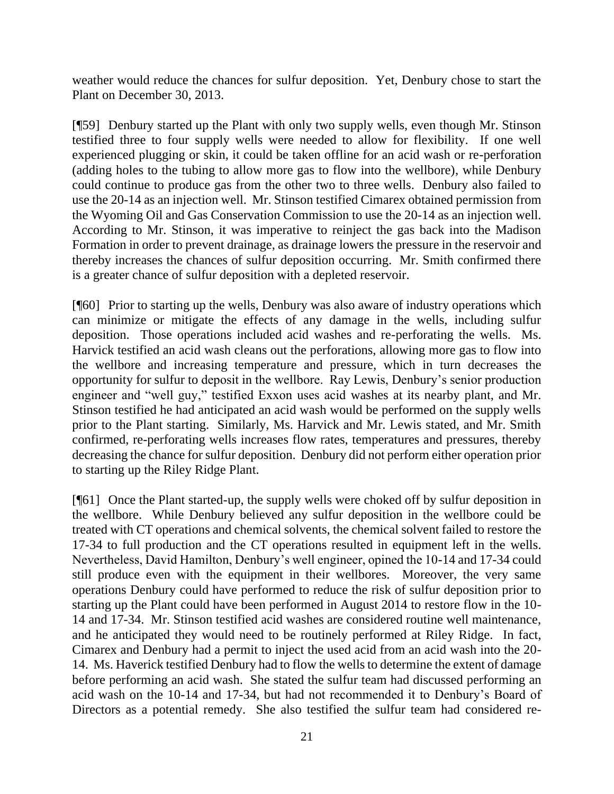weather would reduce the chances for sulfur deposition. Yet, Denbury chose to start the Plant on December 30, 2013.

[¶59] Denbury started up the Plant with only two supply wells, even though Mr. Stinson testified three to four supply wells were needed to allow for flexibility. If one well experienced plugging or skin, it could be taken offline for an acid wash or re-perforation (adding holes to the tubing to allow more gas to flow into the wellbore), while Denbury could continue to produce gas from the other two to three wells. Denbury also failed to use the 20-14 as an injection well. Mr. Stinson testified Cimarex obtained permission from the Wyoming Oil and Gas Conservation Commission to use the 20-14 as an injection well. According to Mr. Stinson, it was imperative to reinject the gas back into the Madison Formation in order to prevent drainage, as drainage lowers the pressure in the reservoir and thereby increases the chances of sulfur deposition occurring. Mr. Smith confirmed there is a greater chance of sulfur deposition with a depleted reservoir.

[¶60] Prior to starting up the wells, Denbury was also aware of industry operations which can minimize or mitigate the effects of any damage in the wells, including sulfur deposition. Those operations included acid washes and re-perforating the wells. Ms. Harvick testified an acid wash cleans out the perforations, allowing more gas to flow into the wellbore and increasing temperature and pressure, which in turn decreases the opportunity for sulfur to deposit in the wellbore. Ray Lewis, Denbury's senior production engineer and "well guy," testified Exxon uses acid washes at its nearby plant, and Mr. Stinson testified he had anticipated an acid wash would be performed on the supply wells prior to the Plant starting. Similarly, Ms. Harvick and Mr. Lewis stated, and Mr. Smith confirmed, re-perforating wells increases flow rates, temperatures and pressures, thereby decreasing the chance for sulfur deposition. Denbury did not perform either operation prior to starting up the Riley Ridge Plant.

[¶61] Once the Plant started-up, the supply wells were choked off by sulfur deposition in the wellbore. While Denbury believed any sulfur deposition in the wellbore could be treated with CT operations and chemical solvents, the chemical solvent failed to restore the 17-34 to full production and the CT operations resulted in equipment left in the wells. Nevertheless, David Hamilton, Denbury's well engineer, opined the 10-14 and 17-34 could still produce even with the equipment in their wellbores. Moreover, the very same operations Denbury could have performed to reduce the risk of sulfur deposition prior to starting up the Plant could have been performed in August 2014 to restore flow in the 10- 14 and 17-34. Mr. Stinson testified acid washes are considered routine well maintenance, and he anticipated they would need to be routinely performed at Riley Ridge. In fact, Cimarex and Denbury had a permit to inject the used acid from an acid wash into the 20- 14. Ms. Haverick testified Denbury had to flow the wells to determine the extent of damage before performing an acid wash. She stated the sulfur team had discussed performing an acid wash on the 10-14 and 17-34, but had not recommended it to Denbury's Board of Directors as a potential remedy. She also testified the sulfur team had considered re-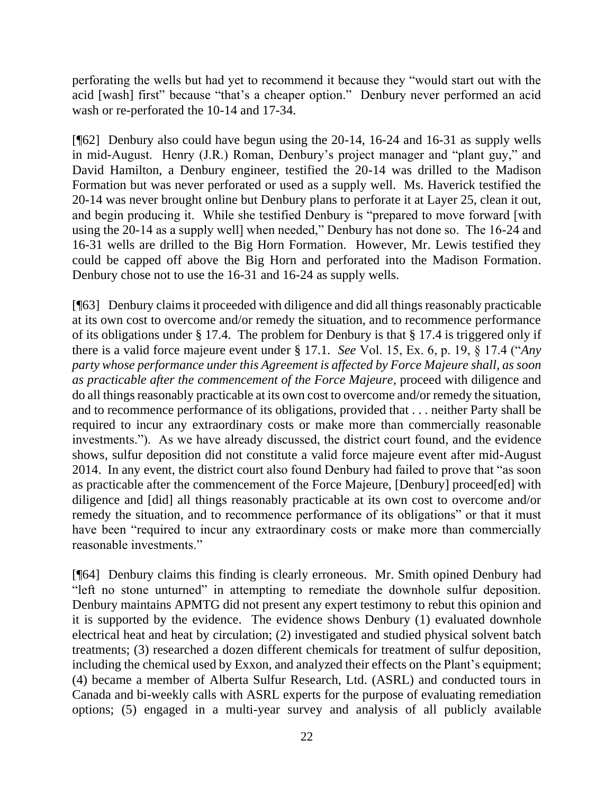perforating the wells but had yet to recommend it because they "would start out with the acid [wash] first" because "that's a cheaper option." Denbury never performed an acid wash or re-perforated the 10-14 and 17-34.

[¶62] Denbury also could have begun using the 20-14, 16-24 and 16-31 as supply wells in mid-August. Henry (J.R.) Roman, Denbury's project manager and "plant guy," and David Hamilton, a Denbury engineer, testified the 20-14 was drilled to the Madison Formation but was never perforated or used as a supply well. Ms. Haverick testified the 20-14 was never brought online but Denbury plans to perforate it at Layer 25, clean it out, and begin producing it. While she testified Denbury is "prepared to move forward [with using the 20-14 as a supply well] when needed," Denbury has not done so. The 16-24 and 16-31 wells are drilled to the Big Horn Formation. However, Mr. Lewis testified they could be capped off above the Big Horn and perforated into the Madison Formation. Denbury chose not to use the 16-31 and 16-24 as supply wells.

[¶63] Denbury claims it proceeded with diligence and did all things reasonably practicable at its own cost to overcome and/or remedy the situation, and to recommence performance of its obligations under § 17.4. The problem for Denbury is that § 17.4 is triggered only if there is a valid force majeure event under § 17.1. *See* Vol. 15, Ex. 6, p. 19, § 17.4 ("*Any party whose performance under this Agreement is affected by Force Majeure shall, as soon as practicable after the commencement of the Force Majeure*, proceed with diligence and do all things reasonably practicable at its own cost to overcome and/or remedy the situation, and to recommence performance of its obligations, provided that . . . neither Party shall be required to incur any extraordinary costs or make more than commercially reasonable investments."). As we have already discussed, the district court found, and the evidence shows, sulfur deposition did not constitute a valid force majeure event after mid-August 2014. In any event, the district court also found Denbury had failed to prove that "as soon as practicable after the commencement of the Force Majeure, [Denbury] proceed[ed] with diligence and [did] all things reasonably practicable at its own cost to overcome and/or remedy the situation, and to recommence performance of its obligations" or that it must have been "required to incur any extraordinary costs or make more than commercially reasonable investments."

[¶64] Denbury claims this finding is clearly erroneous. Mr. Smith opined Denbury had "left no stone unturned" in attempting to remediate the downhole sulfur deposition. Denbury maintains APMTG did not present any expert testimony to rebut this opinion and it is supported by the evidence. The evidence shows Denbury (1) evaluated downhole electrical heat and heat by circulation; (2) investigated and studied physical solvent batch treatments; (3) researched a dozen different chemicals for treatment of sulfur deposition, including the chemical used by Exxon, and analyzed their effects on the Plant's equipment; (4) became a member of Alberta Sulfur Research, Ltd. (ASRL) and conducted tours in Canada and bi-weekly calls with ASRL experts for the purpose of evaluating remediation options; (5) engaged in a multi-year survey and analysis of all publicly available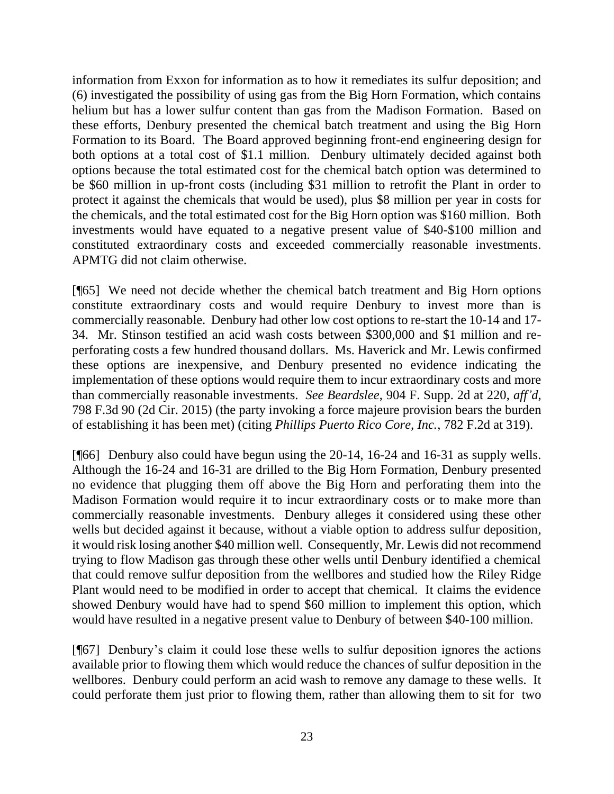information from Exxon for information as to how it remediates its sulfur deposition; and (6) investigated the possibility of using gas from the Big Horn Formation, which contains helium but has a lower sulfur content than gas from the Madison Formation. Based on these efforts, Denbury presented the chemical batch treatment and using the Big Horn Formation to its Board. The Board approved beginning front-end engineering design for both options at a total cost of \$1.1 million. Denbury ultimately decided against both options because the total estimated cost for the chemical batch option was determined to be \$60 million in up-front costs (including \$31 million to retrofit the Plant in order to protect it against the chemicals that would be used), plus \$8 million per year in costs for the chemicals, and the total estimated cost for the Big Horn option was \$160 million. Both investments would have equated to a negative present value of \$40-\$100 million and constituted extraordinary costs and exceeded commercially reasonable investments. APMTG did not claim otherwise.

[¶65] We need not decide whether the chemical batch treatment and Big Horn options constitute extraordinary costs and would require Denbury to invest more than is commercially reasonable. Denbury had other low cost options to re-start the 10-14 and 17- 34. Mr. Stinson testified an acid wash costs between \$300,000 and \$1 million and reperforating costs a few hundred thousand dollars. Ms. Haverick and Mr. Lewis confirmed these options are inexpensive, and Denbury presented no evidence indicating the implementation of these options would require them to incur extraordinary costs and more than commercially reasonable investments. *See Beardslee*, 904 F. Supp. 2d at 220, *aff'd*, 798 F.3d 90 (2d Cir. 2015) (the party invoking a force majeure provision bears the burden of establishing it has been met) (citing *Phillips Puerto Rico Core, Inc.*, 782 F.2d at 319).

[¶66] Denbury also could have begun using the 20-14, 16-24 and 16-31 as supply wells. Although the 16-24 and 16-31 are drilled to the Big Horn Formation, Denbury presented no evidence that plugging them off above the Big Horn and perforating them into the Madison Formation would require it to incur extraordinary costs or to make more than commercially reasonable investments. Denbury alleges it considered using these other wells but decided against it because, without a viable option to address sulfur deposition, it would risk losing another \$40 million well. Consequently, Mr. Lewis did not recommend trying to flow Madison gas through these other wells until Denbury identified a chemical that could remove sulfur deposition from the wellbores and studied how the Riley Ridge Plant would need to be modified in order to accept that chemical. It claims the evidence showed Denbury would have had to spend \$60 million to implement this option, which would have resulted in a negative present value to Denbury of between \$40-100 million.

[¶67] Denbury's claim it could lose these wells to sulfur deposition ignores the actions available prior to flowing them which would reduce the chances of sulfur deposition in the wellbores. Denbury could perform an acid wash to remove any damage to these wells. It could perforate them just prior to flowing them, rather than allowing them to sit for two